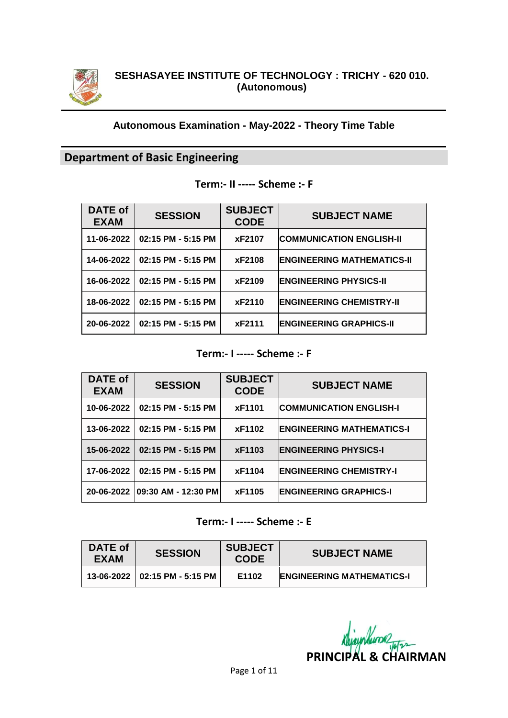

#### **Autonomous Examination - May-2022 - Theory Time Table**

# **Department of Basic Engineering**

### **Term:- II ----- Scheme :- F**

| <b>DATE of</b><br><b>EXAM</b> | <b>SESSION</b>     | <b>SUBJECT</b><br><b>CODE</b> | <b>SUBJECT NAME</b>               |
|-------------------------------|--------------------|-------------------------------|-----------------------------------|
| 11-06-2022                    | 02:15 PM - 5:15 PM | xF2107                        | <b>COMMUNICATION ENGLISH-II</b>   |
| 14-06-2022                    | 02:15 PM - 5:15 PM | xF2108                        | <b>ENGINEERING MATHEMATICS-II</b> |
| 16-06-2022                    | 02:15 PM - 5:15 PM | xF2109                        | <b>ENGINEERING PHYSICS-II</b>     |
| 18-06-2022                    | 02:15 PM - 5:15 PM | xF2110                        | <b>ENGINEERING CHEMISTRY-II</b>   |
| 20-06-2022                    | 02:15 PM - 5:15 PM | xF2111                        | <b>ENGINEERING GRAPHICS-II</b>    |

#### **Term:- I ----- Scheme :- F**

| DATE of<br><b>EXAM</b> | <b>SESSION</b>       | <b>SUBJECT</b><br><b>CODE</b> | <b>SUBJECT NAME</b>              |
|------------------------|----------------------|-------------------------------|----------------------------------|
| 10-06-2022             | 02:15 PM - 5:15 PM   | xF1101                        | <b>COMMUNICATION ENGLISH-I</b>   |
| 13-06-2022             | 02:15 PM - 5:15 PM   | xF1102                        | <b>ENGINEERING MATHEMATICS-I</b> |
| 15-06-2022             | 02:15 PM - 5:15 PM   | xF1103                        | <b>ENGINEERING PHYSICS-I</b>     |
| 17-06-2022             | 02:15 PM - 5:15 PM   | xF1104                        | <b>ENGINEERING CHEMISTRY-I</b>   |
| 20-06-2022             | 109:30 AM - 12:30 PM | xF1105                        | <b>ENGINEERING GRAPHICS-I</b>    |

# **Term:- I ----- Scheme :- E**

| DATE of<br>EXAM | <b>SESSION</b>                    | <b>SUBJECT</b><br><b>CODE</b> | <b>SUBJECT NAME</b>              |
|-----------------|-----------------------------------|-------------------------------|----------------------------------|
|                 | $13-06-2022$   02:15 PM - 5:15 PM | E1102                         | <b>ENGINEERING MATHEMATICS-I</b> |

**PRINCIPAL & CHAIRMAN**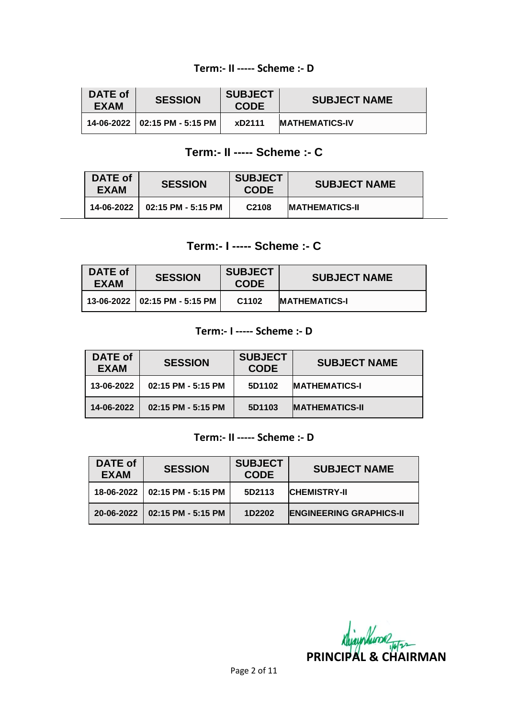#### **Term:- II ----- Scheme :- D**

| DATE of<br><b>EXAM</b> | <b>SESSION</b>                  | <b>SUBJECT</b><br><b>CODE</b> | <b>SUBJECT NAME</b>    |
|------------------------|---------------------------------|-------------------------------|------------------------|
|                        | 14-06-2022   02:15 PM - 5:15 PM | xD2111                        | <b>IMATHEMATICS-IV</b> |

# **Term:- II ----- Scheme :- C**

| <b>DATE of</b><br><b>EXAM</b> | <b>SESSION</b>                | <b>SUBJECT</b><br><b>CODE</b> | <b>SUBJECT NAME</b>    |
|-------------------------------|-------------------------------|-------------------------------|------------------------|
|                               | 14-06-2022 02:15 PM - 5:15 PM | C <sub>2108</sub>             | <b>IMATHEMATICS-II</b> |

# **Term:- I ----- Scheme :- C**

| DATE of<br><b>EXAM</b> | <b>SESSION</b>                  | <b>SUBJECT</b><br><b>CODE</b> | <b>SUBJECT NAME</b>   |
|------------------------|---------------------------------|-------------------------------|-----------------------|
|                        | 13-06-2022   02:15 PM - 5:15 PM | C <sub>1102</sub>             | <b>IMATHEMATICS-I</b> |

## **Term:- I ----- Scheme :- D**

| DATE of<br><b>EXAM</b> | <b>SESSION</b>       | <b>SUBJECT</b><br><b>CODE</b> | <b>SUBJECT NAME</b>   |
|------------------------|----------------------|-------------------------------|-----------------------|
| 13-06-2022             | $02:15$ PM - 5:15 PM | 5D1102                        | <b>MATHEMATICS-I</b>  |
| 14-06-2022             | $02:15$ PM - 5:15 PM | 5D1103                        | <b>MATHEMATICS-II</b> |

#### **Term:- II ----- Scheme :- D**

| DATE of<br><b>EXAM</b> | <b>SESSION</b>                  | <b>SUBJECT</b><br><b>CODE</b> | <b>SUBJECT NAME</b>            |
|------------------------|---------------------------------|-------------------------------|--------------------------------|
|                        | 18-06-2022   02:15 PM - 5:15 PM | 5D2113                        | <b>CHEMISTRY-II</b>            |
| $20 - 06 - 2022$       | $02:15$ PM - 5:15 PM            | 1D2202                        | <b>ENGINEERING GRAPHICS-II</b> |

**PRINCIPAL & CHAIRMAN**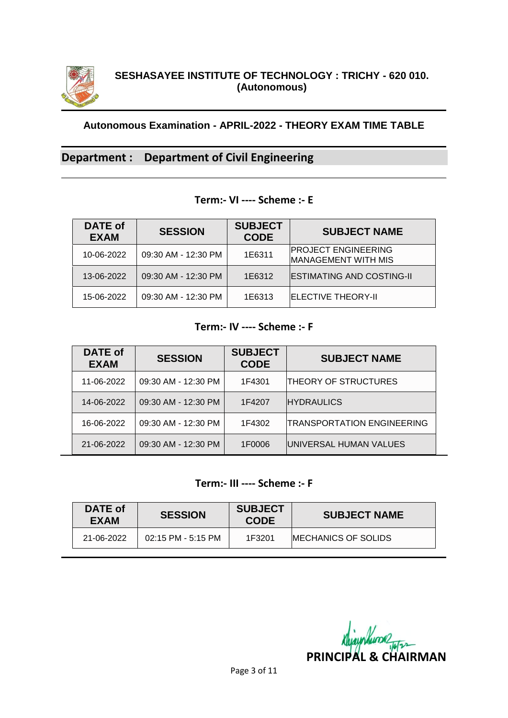

# **Department : Department of Civil Engineering**

#### **Term:- VI ---- Scheme :- E**

| DATE of<br><b>EXAM</b> | <b>SESSION</b>      | <b>SUBJECT</b><br><b>CODE</b> | <b>SUBJECT NAME</b>                                      |
|------------------------|---------------------|-------------------------------|----------------------------------------------------------|
| 10-06-2022             | 09:30 AM - 12:30 PM | 1E6311                        | <b>PROJECT ENGINEERING</b><br><b>MANAGEMENT WITH MIS</b> |
| 13-06-2022             | 09:30 AM - 12:30 PM | 1E6312                        | <b>ESTIMATING AND COSTING-II</b>                         |
| 15-06-2022             | 09:30 AM - 12:30 PM | 1E6313                        | <b>ELECTIVE THEORY-II</b>                                |

#### **Term:- IV ---- Scheme :- F**

| <b>DATE of</b><br><b>EXAM</b> | <b>SESSION</b>      | <b>SUBJECT</b><br><b>CODE</b> | <b>SUBJECT NAME</b>               |
|-------------------------------|---------------------|-------------------------------|-----------------------------------|
| 11-06-2022                    | 09:30 AM - 12:30 PM | 1F4301                        | <b>THEORY OF STRUCTURES</b>       |
| 14-06-2022                    | 09:30 AM - 12:30 PM | 1F4207                        | <b>HYDRAULICS</b>                 |
| 16-06-2022                    | 09:30 AM - 12:30 PM | 1F4302                        | <b>TRANSPORTATION ENGINEERING</b> |
| 21-06-2022                    | 09:30 AM - 12:30 PM | 1F0006                        | UNIVERSAL HUMAN VALUES            |

### **Term:- III ---- Scheme :- F**

| DATE of<br>EXAM | <b>SESSION</b>       | <b>SUBJECT</b><br><b>CODE</b> | <b>SUBJECT NAME</b>         |
|-----------------|----------------------|-------------------------------|-----------------------------|
| 21-06-2022      | $02:15$ PM - 5:15 PM | 1F3201                        | <b>IMECHANICS OF SOLIDS</b> |

**PRINCIPAL & CHAIRMAN**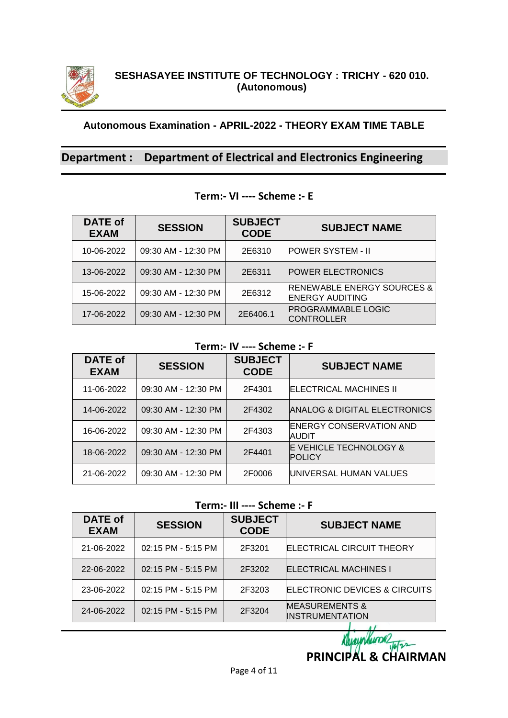

# **Department : Department of Electrical and Electronics Engineering**

| <b>DATE of</b><br><b>EXAM</b> | <b>SESSION</b>      | <b>SUBJECT</b><br><b>CODE</b> | <b>SUBJECT NAME</b>                                             |
|-------------------------------|---------------------|-------------------------------|-----------------------------------------------------------------|
| 10-06-2022                    | 09:30 AM - 12:30 PM | 2E6310                        | <b>IPOWER SYSTEM - II</b>                                       |
| 13-06-2022                    | 09:30 AM - 12:30 PM | 2E6311                        | <b>POWER ELECTRONICS</b>                                        |
| 15-06-2022                    | 09:30 AM - 12:30 PM | 2E6312                        | <b>RENEWABLE ENERGY SOURCES &amp;</b><br><b>ENERGY AUDITING</b> |
| 17-06-2022                    | 09:30 AM - 12:30 PM | 2E6406.1                      | <b>PROGRAMMABLE LOGIC</b><br><b>CONTROLLER</b>                  |

### **Term:- VI ---- Scheme :- E**

#### **Term:- IV ---- Scheme :- F**

| <b>DATE of</b><br><b>EXAM</b> | <b>SESSION</b>      | <b>SUBJECT</b><br><b>CODE</b> | <b>SUBJECT NAME</b>                                |
|-------------------------------|---------------------|-------------------------------|----------------------------------------------------|
| 11-06-2022                    | 09:30 AM - 12:30 PM | 2F4301                        | <b>ELECTRICAL MACHINES II</b>                      |
| 14-06-2022                    | 09:30 AM - 12:30 PM | 2F4302                        | IANALOG & DIGITAL ELECTRONICS                      |
| 16-06-2022                    | 09:30 AM - 12:30 PM | 2F4303                        | <b>ENERGY CONSERVATION AND</b><br>IAUDIT           |
| 18-06-2022                    | 09:30 AM - 12:30 PM | 2F4401                        | <b>E VEHICLE TECHNOLOGY &amp;</b><br><b>POLICY</b> |
| 21-06-2022                    | 09:30 AM - 12:30 PM | 2F0006                        | IUNIVERSAL HUMAN VALUES                            |

### **Term:- III ---- Scheme :- F**

| <b>DATE of</b><br>EXAM | <b>SESSION</b>     | <b>SUBJECT</b><br><b>CODE</b> | <b>SUBJECT NAME</b>                                  |
|------------------------|--------------------|-------------------------------|------------------------------------------------------|
| 21-06-2022             | 02:15 PM - 5:15 PM | 2F3201                        | <b>ELECTRICAL CIRCUIT THEORY</b>                     |
| 22-06-2022             | 02:15 PM - 5:15 PM | 2F3202                        | <b>ELECTRICAL MACHINES I</b>                         |
| 23-06-2022             | 02:15 PM - 5:15 PM | 2F3203                        | ELECTRONIC DEVICES & CIRCUITS                        |
| 24-06-2022             | 02:15 PM - 5:15 PM | 2F3204                        | <b>MEASUREMENTS &amp;</b><br><b>IINSTRUMENTATION</b> |

**PRINCIPAL & CHAIRMAN** 

Nurmhum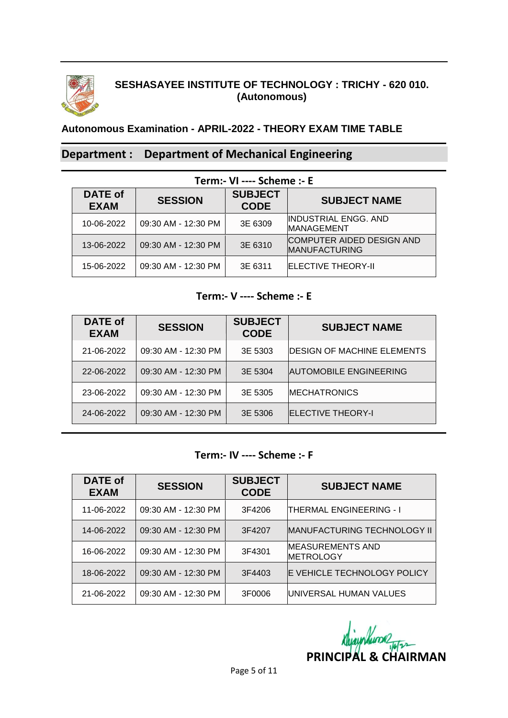

# **SESHASAYEE INSTITUTE OF TECHNOLOGY : TRICHY - 620 010. (Autonomous)**

# **Autonomous Examination - APRIL-2022 - THEORY EXAM TIME TABLE**

# **Department : Department of Mechanical Engineering**

| Term:- VI ---- Scheme :- E    |                     |                               |                                                          |  |
|-------------------------------|---------------------|-------------------------------|----------------------------------------------------------|--|
| <b>DATE of</b><br><b>EXAM</b> | <b>SESSION</b>      | <b>SUBJECT</b><br><b>CODE</b> | <b>SUBJECT NAME</b>                                      |  |
| 10-06-2022                    | 09:30 AM - 12:30 PM | 3E 6309                       | <b>INDUSTRIAL ENGG. AND</b><br><b>IMANAGEMENT</b>        |  |
| 13-06-2022                    | 09:30 AM - 12:30 PM | 3E 6310                       | <b>COMPUTER AIDED DESIGN AND</b><br><b>MANUFACTURING</b> |  |
| 15-06-2022                    | 09:30 AM - 12:30 PM | 3E 6311                       | <b>ELECTIVE THEORY-II</b>                                |  |

#### **Term:- V ---- Scheme :- E**

| <b>DATE of</b><br><b>EXAM</b> | <b>SESSION</b>      | <b>SUBJECT</b><br><b>CODE</b> | <b>SUBJECT NAME</b>                |
|-------------------------------|---------------------|-------------------------------|------------------------------------|
| 21-06-2022                    | 09:30 AM - 12:30 PM | 3E 5303                       | <b>IDESIGN OF MACHINE ELEMENTS</b> |
| 22-06-2022                    | 09:30 AM - 12:30 PM | 3E 5304                       | <b>AUTOMOBILE ENGINEERING</b>      |
| 23-06-2022                    | 09:30 AM - 12:30 PM | 3E 5305                       | <b>IMECHATRONICS</b>               |
| 24-06-2022                    | 09:30 AM - 12:30 PM | 3E 5306                       | <b>IELECTIVE THEORY-I</b>          |

#### **Term:- IV ---- Scheme :- F**

| <b>DATE of</b><br><b>EXAM</b> | <b>SESSION</b>      | <b>SUBJECT</b><br><b>CODE</b> | <b>SUBJECT NAME</b>                         |
|-------------------------------|---------------------|-------------------------------|---------------------------------------------|
| 11-06-2022                    | 09:30 AM - 12:30 PM | 3F4206                        | <b>THERMAL ENGINEERING - I</b>              |
| 14-06-2022                    | 09:30 AM - 12:30 PM | 3F4207                        | <b>MANUFACTURING TECHNOLOGY II</b>          |
| 16-06-2022                    | 09:30 AM - 12:30 PM | 3F4301                        | <b>MEASUREMENTS AND</b><br><b>METROLOGY</b> |
| 18-06-2022                    | 09:30 AM - 12:30 PM | 3F4403                        | <b>E VEHICLE TECHNOLOGY POLICY</b>          |
| 21-06-2022                    | 09:30 AM - 12:30 PM | 3F0006                        | UNIVERSAL HUMAN VALUES                      |

nhum **PRINCIPAL & CHAIRMAN**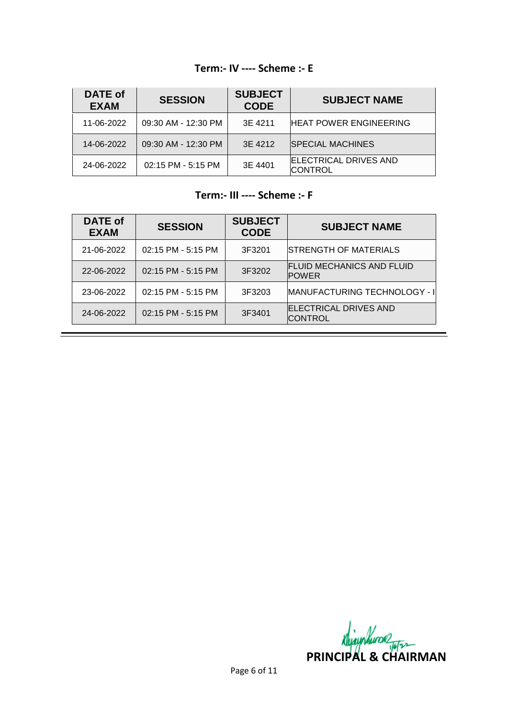# **Term:- IV ---- Scheme :- E**

| DATE of<br><b>EXAM</b> | <b>SESSION</b>      | <b>SUBJECT</b><br><b>CODE</b> | <b>SUBJECT NAME</b>                            |
|------------------------|---------------------|-------------------------------|------------------------------------------------|
| 11-06-2022             | 09:30 AM - 12:30 PM | 3E 4211                       | <b>HEAT POWER ENGINEERING</b>                  |
| 14-06-2022             | 09:30 AM - 12:30 PM | 3E 4212                       | <b>SPECIAL MACHINES</b>                        |
| 24-06-2022             | 02:15 PM - 5:15 PM  | 3E 4401                       | <b>ELECTRICAL DRIVES AND</b><br><b>CONTROL</b> |

# **Term:- III ---- Scheme :- F**

| <b>DATE of</b><br>EXAM | <b>SESSION</b>     | <b>SUBJECT</b><br><b>CODE</b> | <b>SUBJECT NAME</b>                              |
|------------------------|--------------------|-------------------------------|--------------------------------------------------|
| 21-06-2022             | 02:15 PM - 5:15 PM | 3F3201                        | <b>STRENGTH OF MATERIALS</b>                     |
| 22-06-2022             | 02:15 PM - 5:15 PM | 3F3202                        | <b>FLUID MECHANICS AND FLUID</b><br><b>POWER</b> |
| 23-06-2022             | 02:15 PM - 5:15 PM | 3F3203                        | MANUFACTURING TECHNOLOGY - I                     |
| 24-06-2022             | 02:15 PM - 5:15 PM | 3F3401                        | <b>ELECTRICAL DRIVES AND</b><br><b>CONTROL</b>   |

**PRINCIPAL & CHAIRMAN** 

-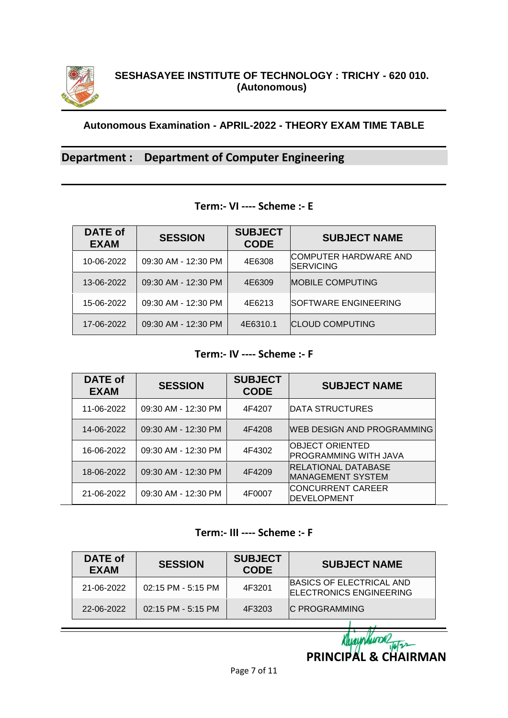

# **Department : Department of Computer Engineering**

#### **Term:- VI ---- Scheme :- E**

| <b>DATE of</b><br><b>EXAM</b> | <b>SESSION</b>      | <b>SUBJECT</b><br><b>CODE</b> | <b>SUBJECT NAME</b>                        |
|-------------------------------|---------------------|-------------------------------|--------------------------------------------|
| 10-06-2022                    | 09:30 AM - 12:30 PM | 4E6308                        | ICOMPUTER HARDWARE AND<br><b>SERVICING</b> |
| 13-06-2022                    | 09:30 AM - 12:30 PM | 4E6309                        | <b>MOBILE COMPUTING</b>                    |
| 15-06-2022                    | 09:30 AM - 12:30 PM | 4E6213                        | <b>SOFTWARE ENGINEERING</b>                |
| 17-06-2022                    | 09:30 AM - 12:30 PM | 4E6310.1                      | <b>CLOUD COMPUTING</b>                     |

### **Term:- IV ---- Scheme :- F**

| <b>DATE of</b><br><b>EXAM</b> | <b>SESSION</b>      | <b>SUBJECT</b><br><b>CODE</b> | <b>SUBJECT NAME</b>                                     |
|-------------------------------|---------------------|-------------------------------|---------------------------------------------------------|
| 11-06-2022                    | 09:30 AM - 12:30 PM | 4F4207                        | <b>DATA STRUCTURES</b>                                  |
| 14-06-2022                    | 09:30 AM - 12:30 PM | 4F4208                        | <b>WEB DESIGN AND PROGRAMMING</b>                       |
| 16-06-2022                    | 09:30 AM - 12:30 PM | 4F4302                        | <b>IOBJECT ORIENTED</b><br><b>PROGRAMMING WITH JAVA</b> |
| 18-06-2022                    | 09:30 AM - 12:30 PM | 4F4209                        | <b>RELATIONAL DATABASE</b><br><b>MANAGEMENT SYSTEM</b>  |
| 21-06-2022                    | 09:30 AM - 12:30 PM | 4F0007                        | <b>CONCURRENT CAREER</b><br><b>IDEVELOPMENT</b>         |

#### **Term:- III ---- Scheme :- F**

| DATE of<br><b>EXAM</b> | <b>SESSION</b>       | <b>SUBJECT</b><br><b>CODE</b> | <b>SUBJECT NAME</b>                                        |
|------------------------|----------------------|-------------------------------|------------------------------------------------------------|
| 21-06-2022             | $02:15$ PM - 5:15 PM | 4F3201                        | BASICS OF ELECTRICAL AND<br><b>ELECTRONICS ENGINEERING</b> |
| 22-06-2022             | $02:15$ PM - 5:15 PM | 4F3203                        | <b>IC PROGRAMMING</b>                                      |
|                        |                      |                               |                                                            |

Klyaynhund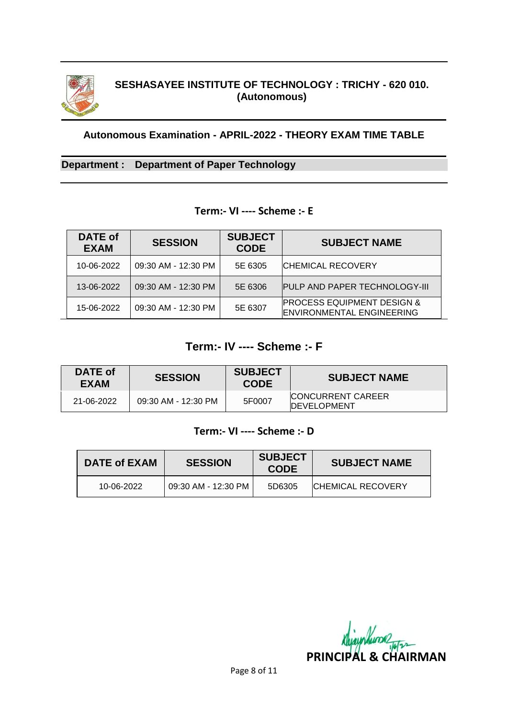

# **SESHASAYEE INSTITUTE OF TECHNOLOGY : TRICHY - 620 010. (Autonomous)**

#### **Autonomous Examination - APRIL-2022 - THEORY EXAM TIME TABLE**

### **Department : Department of Paper Technology**

### **Term:- VI ---- Scheme :- E**

| <b>DATE of</b><br><b>EXAM</b> | <b>SESSION</b>      | <b>SUBJECT</b><br><b>CODE</b> | <b>SUBJECT NAME</b>                                                       |
|-------------------------------|---------------------|-------------------------------|---------------------------------------------------------------------------|
| 10-06-2022                    | 09:30 AM - 12:30 PM | 5E 6305                       | <b>CHEMICAL RECOVERY</b>                                                  |
| 13-06-2022                    | 09:30 AM - 12:30 PM | 5E 6306                       | <b>PULP AND PAPER TECHNOLOGY-III</b>                                      |
| 15-06-2022                    | 09:30 AM - 12:30 PM | 5E 6307                       | <b>PROCESS EQUIPMENT DESIGN &amp;</b><br><b>ENVIRONMENTAL ENGINEERING</b> |

# **Term:- IV ---- Scheme :- F**

| DATE of<br><b>EXAM</b> | <b>SESSION</b>      | <b>SUBJECT</b><br><b>CODE</b> | <b>SUBJECT NAME</b>                              |
|------------------------|---------------------|-------------------------------|--------------------------------------------------|
| 21-06-2022             | 09:30 AM - 12:30 PM | 5F0007                        | <b>ICONCURRENT CAREER</b><br><b>IDEVELOPMENT</b> |

### **Term:- VI ---- Scheme :- D**

| DATE of EXAM | <b>SESSION</b>      | <b>SUBJECT</b><br><b>CODE</b> | <b>SUBJECT NAME</b>       |
|--------------|---------------------|-------------------------------|---------------------------|
| 10-06-2022   | 09:30 AM - 12:30 PM | 5D6305                        | <b>ICHEMICAL RECOVERY</b> |

*RhjayNume*<br>PRINCIPAL & CHAIRMAN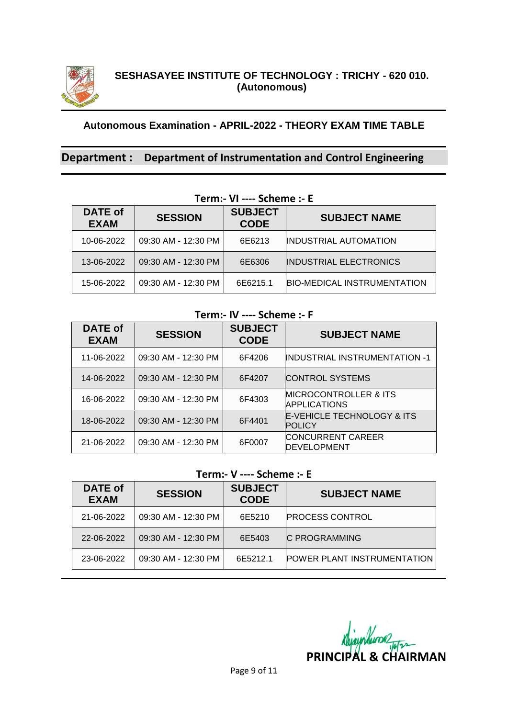

### **Department : Department of Instrumentation and Control Engineering**

| TCHII VI --- JUILIIL - L |                     |                               |                                    |
|--------------------------|---------------------|-------------------------------|------------------------------------|
| DATE of<br><b>EXAM</b>   | <b>SESSION</b>      | <b>SUBJECT</b><br><b>CODE</b> | <b>SUBJECT NAME</b>                |
| 10-06-2022               | 09:30 AM - 12:30 PM | 6E6213                        | <b>INDUSTRIAL AUTOMATION</b>       |
| 13-06-2022               | 09:30 AM - 12:30 PM | 6E6306                        | <b>INDUSTRIAL ELECTRONICS</b>      |
| 15-06-2022               | 09:30 AM - 12:30 PM | 6E6215.1                      | <b>BIO-MEDICAL INSTRUMENTATION</b> |

**Term:- VI ---- Scheme :- E**

## **Term:- IV ---- Scheme :- F**

| DATE of<br><b>EXAM</b> | <b>SESSION</b>      | <b>SUBJECT</b><br><b>CODE</b> | <b>SUBJECT NAME</b>                                       |
|------------------------|---------------------|-------------------------------|-----------------------------------------------------------|
| 11-06-2022             | 09:30 AM - 12:30 PM | 6F4206                        | INDUSTRIAL INSTRUMENTATION -1                             |
| 14-06-2022             | 09:30 AM - 12:30 PM | 6F4207                        | CONTROL SYSTEMS                                           |
| 16-06-2022             | 09:30 AM - 12:30 PM | 6F4303                        | <b>IMICROCONTROLLER &amp; ITS</b><br><b>IAPPLICATIONS</b> |
| 18-06-2022             | 09:30 AM - 12:30 PM | 6F4401                        | <b>E-VEHICLE TECHNOLOGY &amp; ITS</b><br><b>POLICY</b>    |
| 21-06-2022             | 09:30 AM - 12:30 PM | 6F0007                        | <b>CONCURRENT CAREER</b><br><b>IDEVELOPMENT</b>           |

### **Term:- V ---- Scheme :- E**

| DATE of<br><b>EXAM</b> | <b>SESSION</b>      | <b>SUBJECT</b><br><b>CODE</b> | <b>SUBJECT NAME</b>                |
|------------------------|---------------------|-------------------------------|------------------------------------|
| 21-06-2022             | 09:30 AM - 12:30 PM | 6E5210                        | <b>PROCESS CONTROL</b>             |
| 22-06-2022             | 09:30 AM - 12:30 PM | 6E5403                        | <b>C PROGRAMMING</b>               |
| 23-06-2022             | 09:30 AM - 12:30 PM | 6E5212.1                      | <b>POWER PLANT INSTRUMENTATION</b> |

*Rhjayphunder*<br>PRINCIPAL & CHAIRMAN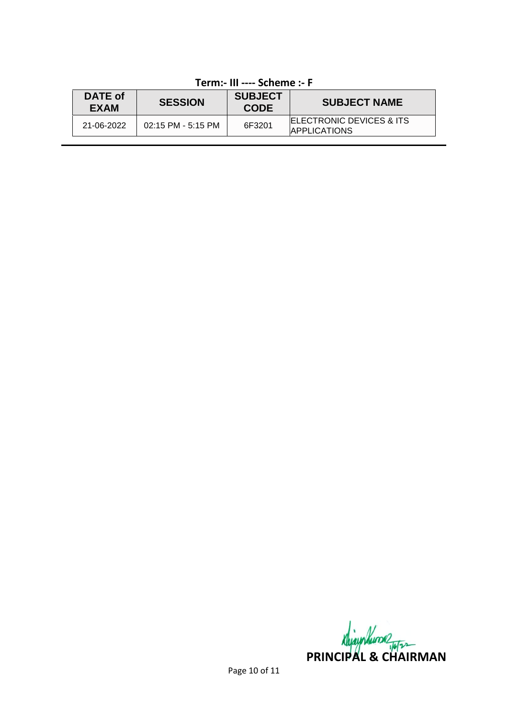| DATE of<br>EXAM | <b>SESSION</b>       | <b>SUBJECT</b><br><b>CODE</b> | <b>SUBJECT NAME</b>                                          |
|-----------------|----------------------|-------------------------------|--------------------------------------------------------------|
| 21-06-2022      | $02:15$ PM - 5:15 PM | 6F3201                        | <b>IELECTRONIC DEVICES &amp; ITS</b><br><b>IAPPLICATIONS</b> |

# **Term:- III ---- Scheme :- F**

**PRINCIPAL & CHAIRMAN**